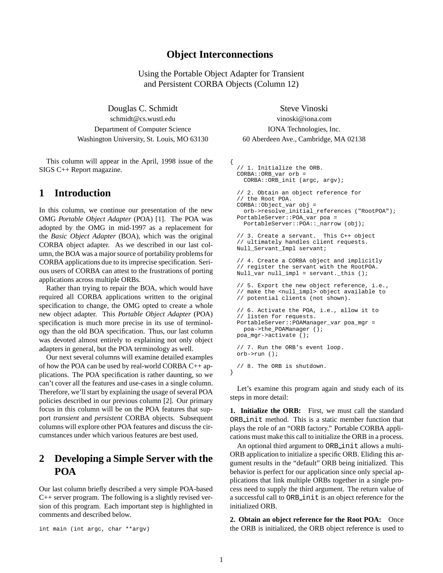### **Object Interconnections**

Using the Portable Object Adapter for Transient and Persistent CORBA Objects (Column 12)

Douglas C. Schmidt Steve Vinoski schmidt@cs.wustl.edu vinoski@iona.com Department of Computer Science IONA Technologies, Inc. Washington University, St. Louis, MO 63130 60 Aberdeen Ave., Cambridge, MA 02138

This column will appear in the April, 1998 issue of the SIGS C++ Report magazine.

## **1 Introduction**

In this column, we continue our presentation of the new OMG *Portable Object Adapter* (POA) [1]. The POA was adopted by the OMG in mid-1997 as a replacement for the *Basic Object Adapter* (BOA), which was the original CORBA object adapter. As we described in our last column, the BOA was a major source of portability problems for CORBA applications due to its imprecise specification. Serious users of CORBA can attest to the frustrations of porting applications across multiple ORBs.

Rather than trying to repair the BOA, which would have required all CORBA applications written to the original specification to change, the OMG opted to create a whole new object adapter. This *Portable Object Adapter* (POA) specification is much more precise in its use of terminology than the old BOA specification. Thus, our last column was devoted almost entirely to explaining not only object adapters in general, but the POA terminology as well.

Our next several columns will examine detailed examples of how the POA can be used by real-world CORBA C++ applications. The POA specification is rather daunting, so we can't cover all the features and use-cases in a single column. Therefore, we'll start by explaining the usage of several POA policies described in our previous column [2]. Our primary focus in this column will be on the POA features that support *transient* and *persistent* CORBA objects. Subsequent columns will explore other POA features and discuss the circumstances under which various features are best used.

# **2 Developing a Simple Server with the POA**

Our last column briefly described a very simple POA-based C++ server program. The following is a slightly revised version of this program. Each important step is highlighted in comments and described below.

int main (int argc, char \*\*argv)

```
{
  // 1. Initialize the ORB.
 CORBA::ORB_var orb =
   CORBA::ORB_init (argc, argv);
 // 2. Obtain an object reference for
  // the Root POA.
 CORBA::Object_var obj =
    orb->resolve_initial_references ("RootPOA");
 PortableServer::POA_var poa =
   PortableServer::POA::_narrow (obj);
 // 3. Create a servant. This C++ object
 // ultimately handles client requests.
 Null Servant Impl servant;
 // 4. Create a CORBA object and implicitly
  // register the servant with the RootPOA.
 Null_var null_impl = servant._this ();
 // 5. Export the new object reference, i.e.,
  // make the <null_impl> object available to
 // potential clients (not shown).
  // 6. Activate the POA, i.e., allow it to
  // listen for requests.
 PortableServer::POAManager_var poa_mgr =
   poa->the_POAManager ();
 poa_mgr->activate ();
  // 7. Run the ORB's event loop.
 orb->run ();
  // 8. The ORB is shutdown.
}
```
Let's examine this program again and study each of its steps in more detail:

**1. Initialize the ORB:** First, we must call the standard ORB init method. This is a static member function that plays the role of an "ORB factory." Portable CORBA applications must make this call to initialize the ORB in a process.

An optional third argument to ORB init allows a multi-ORB application to initialize a specific ORB. Eliding this argument results in the "default" ORB being initialized. This behavior is perfect for our application since only special applications that link multiple ORBs together in a single process need to supply the third argument. The return value of a successful call to ORB init is an object reference for the initialized ORB.

**2. Obtain an object reference for the Root POA:** Once the ORB is initialized, the ORB object reference is used to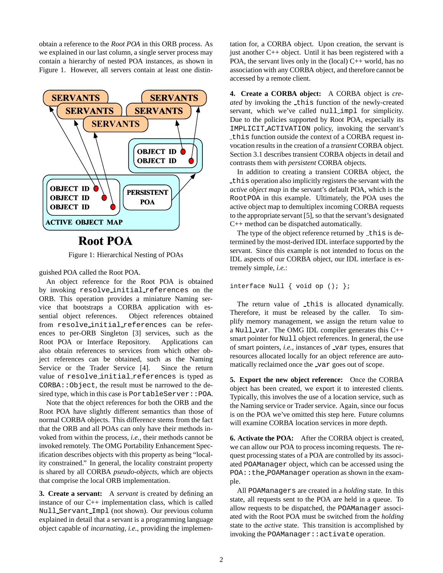obtain a reference to the *Root POA* in this ORB process. As we explained in our last column, a single server process may contain a hierarchy of nested POA instances, as shown in Figure 1. However, all servers contain at least one distin-



Figure 1: Hierarchical Nesting of POAs

guished POA called the Root POA.

An object reference for the Root POA is obtained by invoking resolve initial references on the ORB. This operation provides a miniature Naming service that bootstraps a CORBA application with essential object references. Object references obtained from resolve initial references can be references to per-ORB Singleton [3] services, such as the Root POA or Interface Repository. Applications can also obtain references to services from which other object references can be obtained, such as the Naming Service or the Trader Service [4]. Since the return value of resolve initial references is typed as CORBA::Object, the result must be narrowed to the desired type, which in this case is PortableServer:: POA.

Note that the object references for both the ORB and the Root POA have slightly different semantics than those of normal CORBA objects. This difference stems from the fact that the ORB and all POAs can only have their methods invoked from within the process, *i.e.*, their methods cannot be invoked remotely. The OMG Portability Enhancement Specification describes objects with this property as being "locality constrained." In general, the locality constraint property is shared by all CORBA *pseudo-objects*, which are objects that comprise the local ORB implementation.

**3. Create a servant:** A *servant* is created by defining an instance of our C++ implementation class, which is called Null Servant Impl (not shown). Our previous column explained in detail that a servant is a programming language object capable of *incarnating*, *i.e.*, providing the implemen-

tation for, a CORBA object. Upon creation, the servant is just another C++ object. Until it has been registered with a POA, the servant lives only in the (local)  $C++$  world, has no association with any CORBA object, and therefore cannot be accessed by a remote client.

**4. Create a CORBA object:** A CORBA object is *created* by invoking the this function of the newly-created servant, which we've called null impl for simplicity. Due to the policies supported by Root POA, especially its IMPLICIT ACTIVATION policy, invoking the servant's this function outside the context of a CORBA request invocation results in the creation of a *transient* CORBA object. Section 3.1 describes transient CORBA objects in detail and contrasts them with *persistent* CORBA objects.

In addition to creating a transient CORBA object, the this operation also implicitly registers the servant with the *active object map* in the servant's default POA, which is the RootPOA in this example. Ultimately, the POA uses the active object map to demultiplex incoming CORBA requests to the appropriate servant [5], so that the servant's designated C++ method can be dispatched automatically.

The type of the object reference returned by \_this is determined by the most-derived IDL interface supported by the servant. Since this example is not intended to focus on the IDL aspects of our CORBA object, our IDL interface is extremely simple, *i.e.*:

```
interface Null \{ void op (); \};
```
The return value of this is allocated dynamically. Therefore, it must be released by the caller. To simplify memory management, we assign the return value to a Null var. The OMG IDL compiler generates this C++ smart pointer for Null object references. In general, the use of smart pointers, *i.e.*, instances of var types, ensures that resources allocated locally for an object reference are automatically reclaimed once the var goes out of scope.

**5. Export the new object reference:** Once the CORBA object has been created, we export it to interested clients. Typically, this involves the use of a location service, such as the Naming service or Trader service. Again, since our focus is on the POA we've omitted this step here. Future columns will examine CORBA location services in more depth.

**6. Activate the POA:** After the CORBA object is created, we can allow our POA to process incoming requests. The request processing states of a POA are controlled by its associated POAManager object, which can be accessed using the POA::the POAManager operation as shown in the example.

All POAManagers are created in a *holding* state. In this state, all requests sent to the POA are held in a queue. To allow requests to be dispatched, the POAManager associated with the Root POA must be switched from the *holding* state to the *active* state. This transition is accomplished by invoking the POAManager::activate operation.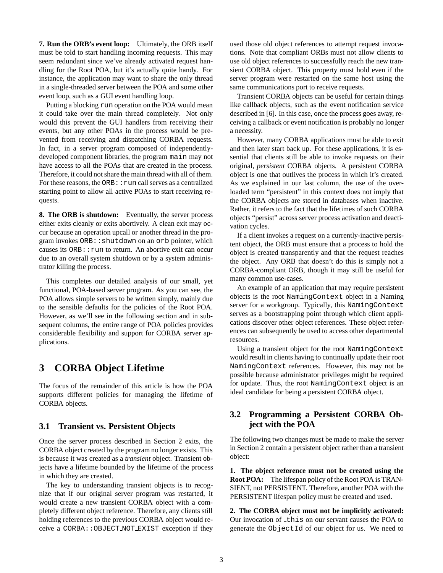**7. Run the ORB's event loop:** Ultimately, the ORB itself must be told to start handling incoming requests. This may seem redundant since we've already activated request handling for the Root POA, but it's actually quite handy. For instance, the application may want to share the only thread in a single-threaded server between the POA and some other event loop, such as a GUI event handling loop.

Putting a blocking run operation on the POA would mean it could take over the main thread completely. Not only would this prevent the GUI handlers from receiving their events, but any other POAs in the process would be prevented from receiving and dispatching CORBA requests. In fact, in a server program composed of independentlydeveloped component libraries, the program main may not have access to all the POAs that are created in the process. Therefore, it could not share the main thread with all of them. For these reasons, the  $ORB:$ : run call serves as a centralized starting point to allow all active POAs to start receiving requests.

**8. The ORB is shutdown:** Eventually, the server process either exits cleanly or exits abortively. A clean exit may occur because an operation upcall or another thread in the program invokes ORB::shutdown on an orb pointer, which causes its  $ORB:$ : run to return. An abortive exit can occur due to an overall system shutdown or by a system administrator killing the process.

This completes our detailed analysis of our small, yet functional, POA-based server program. As you can see, the POA allows simple servers to be written simply, mainly due to the sensible defaults for the policies of the Root POA. However, as we'll see in the following section and in subsequent columns, the entire range of POA policies provides considerable flexibility and support for CORBA server applications.

## **3 CORBA Object Lifetime**

The focus of the remainder of this article is how the POA supports different policies for managing the lifetime of CORBA objects.

#### **3.1 Transient vs. Persistent Objects**

Once the server process described in Section 2 exits, the CORBA object created by the program no longer exists. This is because it was created as a *transient* object. Transient objects have a lifetime bounded by the lifetime of the process in which they are created.

The key to understanding transient objects is to recognize that if our original server program was restarted, it would create a new transient CORBA object with a completely different object reference. Therefore, any clients still holding references to the previous CORBA object would receive a CORBA::OBJECT NOT EXIST exception if they used those old object references to attempt request invocations. Note that compliant ORBs must not allow clients to use old object references to successfully reach the new transient CORBA object. This property must hold even if the server program were restarted on the same host using the same communications port to receive requests.

Transient CORBA objects can be useful for certain things like callback objects, such as the event notification service described in [6]. In this case, once the process goes away, receiving a callback or event notification is probably no longer a necessity.

However, many CORBA applications must be able to exit and then later start back up. For these applications, it is essential that clients still be able to invoke requests on their original, *persistent* CORBA objects. A persistent CORBA object is one that outlives the process in which it's created. As we explained in our last column, the use of the overloaded term "persistent" in this context does not imply that the CORBA objects are stored in databases when inactive. Rather, it refers to the fact that the lifetimes of such CORBA objects "persist" across server process activation and deactivation cycles.

If a client invokes a request on a currently-inactive persistent object, the ORB must ensure that a process to hold the object is created transparently and that the request reaches the object. Any ORB that doesn't do this is simply not a CORBA-compliant ORB, though it may still be useful for many common use-cases.

An example of an application that may require persistent objects is the root NamingContext object in a Naming server for a workgroup. Typically, this NamingContext serves as a bootstrapping point through which client applications discover other object references. These object references can subsequently be used to access other departmental resources.

Using a transient object for the root NamingContext would result in clients having to continually update their root NamingContext references. However, this may not be possible because administrator privileges might be required for update. Thus, the root NamingContext object is an ideal candidate for being a persistent CORBA object.

### **3.2 Programming a Persistent CORBA Object with the POA**

The following two changes must be made to make the server in Section 2 contain a persistent object rather than a transient object:

**1. The object reference must not be created using the Root POA:** The lifespan policy of the Root POA is TRAN-SIENT, not PERSISTENT. Therefore, another POA with the PERSISTENT lifespan policy must be created and used.

**2. The CORBA object must not be implicitly activated:** Our invocation of this on our servant causes the POA to generate the ObjectId of our object for us. We need to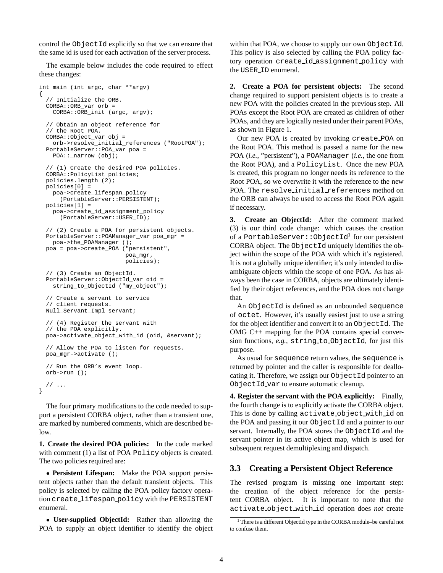control the ObjectId explicitly so that we can ensure that the same id is used for each activation of the server process.

The example below includes the code required to effect these changes:

{

```
int main (int argc, char **argv)
  // Initialize the ORB.
 CORBA::ORB_var orb =
    CORBA::ORB_init (argc, argv);
  // Obtain an object reference for
  // the Root POA.
  CORBA::Object_var obj =
   orb->resolve_initial_references ("RootPOA");
  PortableServer::POA_var poa =
   POA:: narrow (obj);
  // (1) Create the desired POA policies.
 CORBA::PolicyList policies;
  policies.length (2);
 policies[0] =
   poa->create_lifespan_policy
      (PortableServer::PERSISTENT);
  policies[1] =
   poa->create_id_assignment_policy
      (PortableServer::USER_ID);
  // (2) Create a POA for persistent objects.
  PortableServer::POAManager_var poa_mgr =
   poa->the_POAManager ();
 poa = poa->create_POA ("persistent",
                         poa_mgr,
                         policies);
  // (3) Create an ObjectId.
  PortableServer::ObjectId_var oid =
    string_to_ObjectId ("my_object");
  // Create a servant to service
  // client requests.
 Null_Servant_Impl servant;
  // (4) Register the servant with
  // the POA explicitly.
 poa->activate_object_with_id (oid, &servant);
  // Allow the POA to listen for requests.
 poa_mgr->activate ();
  // Run the ORB's event loop.
 orb->run ();
  // ...
}
```
The four primary modifications to the code needed to support a persistent CORBA object, rather than a transient one, are marked by numbered comments, which are described below.

**1. Create the desired POA policies:** In the code marked with comment (1) a list of POA Policy objects is created. The two policies required are:

 **Persistent Lifespan:** Make the POA support persistent objects rather than the default transient objects. This policy is selected by calling the POA policy factory operation create lifespan policy with the PERSISTENT enumeral.

 **User-supplied ObjectId:** Rather than allowing the POA to supply an object identifier to identify the object within that POA, we choose to supply our own ObjectId. This policy is also selected by calling the POA policy factory operation create id assignment policy with the USER ID enumeral.

**2. Create a POA for persistent objects:** The second change required to support persistent objects is to create a new POA with the policies created in the previous step. All POAs except the Root POA are created as children of other POAs, and they are logically nested under their parent POAs, as shown in Figure 1.

Our new POA is created by invoking create POA on the Root POA. This method is passed a name for the new POA (*i.e.*, "persistent"), a POAManager (*i.e.*, the one from the Root POA), and a PolicyList. Once the new POA is created, this program no longer needs its reference to the Root POA, so we overwrite it with the reference to the new POA. The resolve initial references method on the ORB can always be used to access the Root POA again if necessary.

**3. Create an ObjectId:** After the comment marked (3) is our third code change: which causes the creation of a <code>PortableServer::ObjectId $^{\rm l}$  for</code> our persistent CORBA object. The ObjectId uniquely identifies the object within the scope of the POA with which it's registered. It is not a globally unique identifier; it's only intended to disambiguate objects within the scope of one POA. As has always been the case in CORBA, objects are ultimately identified by their object references, and the POA does not change that.

An ObjectId is defined as an unbounded sequence of octet. However, it's usually easiest just to use a string for the object identifier and convert it to an ObjectId. The OMG C++ mapping for the POA contains special conversion functions, *e.g.*, string to ObjectId, for just this purpose.

As usual for sequence return values, the sequence is returned by pointer and the caller is responsible for deallocating it. Therefore, we assign our ObjectId pointer to an ObjectId var to ensure automatic cleanup.

**4. Register the servant with the POA explicitly:** Finally, the fourth change is to explicitly activate the CORBA object. This is done by calling activate object with id on the POA and passing it our ObjectId and a pointer to our servant. Internally, the POA stores the ObjectId and the servant pointer in its active object map, which is used for subsequent request demultiplexing and dispatch.

#### **3.3 Creating a Persistent Object Reference**

The revised program is missing one important step: the creation of the object reference for the persistent CORBA object. It is important to note that the activate object with id operation does *not* create

<sup>1</sup> There is a different ObjectId type in the CORBA module–be careful not to confuse them.